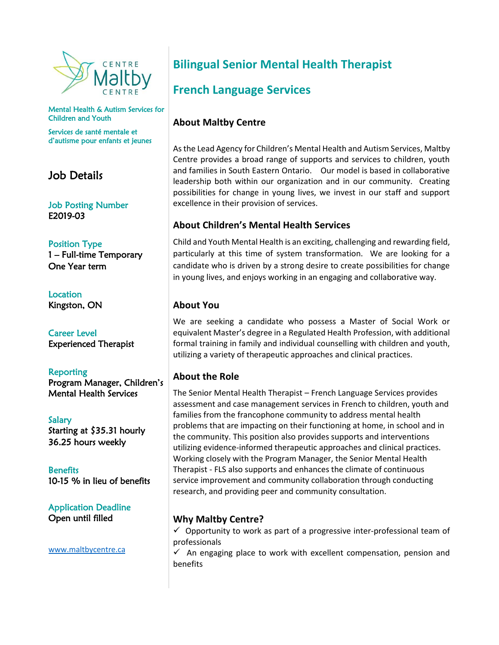

Mental Health & Autism Services for Children and Youth

Services de santé mentale et d'autisme pour enfants et jeunes

## Job Details

Job Posting Number E2019-03

Position Type 1 – Full-time Temporary One Year term

Location Kingston, ON

Career Level Experienced Therapist

Reporting Program Manager, Children's Mental Health Services

Salary Starting at \$35.31 hourly 36.25 hours weekly

**Benefits** 10-15 % in lieu of benefits

Application Deadline Open until filled

[www.maltbycentre.ca](http://www.maltbycentre.ca/)

# **Bilingual Senior Mental Health Therapist**

# **French Language Services**

### **About Maltby Centre**

As the Lead Agency for Children's Mental Health and Autism Services, Maltby Centre provides a broad range of supports and services to children, youth and families in South Eastern Ontario. Our model is based in collaborative leadership both within our organization and in our community. Creating possibilities for change in young lives, we invest in our staff and support excellence in their provision of services.

#### **About Children's Mental Health Services**

Child and Youth Mental Health is an exciting, challenging and rewarding field, particularly at this time of system transformation. We are looking for a candidate who is driven by a strong desire to create possibilities for change in young lives, and enjoys working in an engaging and collaborative way.

#### **About You**

We are seeking a candidate who possess a Master of Social Work or equivalent Master's degree in a Regulated Health Profession, with additional formal training in family and individual counselling with children and youth, utilizing a variety of therapeutic approaches and clinical practices.

#### **About the Role**

The Senior Mental Health Therapist – French Language Services provides assessment and case management services in French to children, youth and families from the francophone community to address mental health problems that are impacting on their functioning at home, in school and in the community. This position also provides supports and interventions utilizing evidence-informed therapeutic approaches and clinical practices. Working closely with the Program Manager, the Senior Mental Health Therapist - FLS also supports and enhances the climate of continuous service improvement and community collaboration through conducting research, and providing peer and community consultation.

### **Why Maltby Centre?**

 $\checkmark$  Opportunity to work as part of a progressive inter-professional team of professionals

 $\checkmark$  An engaging place to work with excellent compensation, pension and benefits